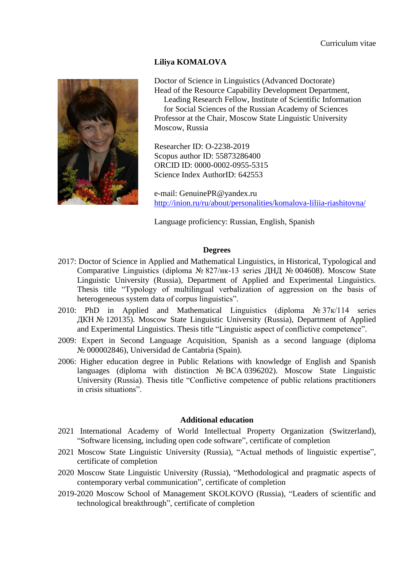# **Liliya KOMALOVA**



Doctor of Science in Linguistics (Advanced Doctorate) Head of the Resource Capability Development Department,

Leading Research Fellow, Institute of Scientific Information for Social Sciences of the Russian Academy of Sciences Professor at the Chair, Moscow State Linguistic University Moscow, Russia

Researcher ID: O-2238-2019 Scopus author ID: 55873286400 ORCID ID: 0000-0002-0955-5315 Science Index AuthorID: 642553

e-mail: GenuinePR@yandex.ru <http://inion.ru/ru/about/personalities/komalova-liliia-riashitovna/>

Language proficiency: Russian, English, Spanish

## **Degrees**

- 2017: Doctor of Science in Applied and Mathematical Linguistics, in Historical, Typological and Comparative Linguistics (diploma № 827/нк-13 series ДНД № 004608). Moscow State Linguistic University (Russia), Department of Applied and Experimental Linguistics. Thesis title "Typology of multilingual verbalization of aggression on the basis of heterogeneous system data of corpus linguistics".
- 2010: PhD in Applied and Mathematical Linguistics (diploma  $N_2 37K/114$  series ДКН № 120135). Moscow State Linguistic University (Russia), Department of Applied and Experimental Linguistics. Thesis title "Linguistic aspect of conflictive competence".
- 2009: Expert in Second Language Acquisition, Spanish as a second language (diploma № 000002846), Universidad de Cantabria (Spain).
- 2006: Higher education degree in Public Relations with knowledge of English and Spanish languages (diploma with distinction № ВСА 0396202). Moscow State Linguistic University (Russia). Thesis title "Conflictive competence of public relations practitioners in crisis situations".

## **Additional education**

- 2021 International Academy of World Intellectual Property Organization (Switzerland), "Software licensing, including open code software", certificate of completion
- 2021 Moscow State Linguistic University (Russia), "Actual methods of linguistic expertise", certificate of completion
- 2020 Moscow State Linguistic University (Russia), "Methodological and pragmatic aspects of contemporary verbal communication", certificate of completion
- 2019-2020 Moscow School of Management SKOLKOVO (Russia), "Leaders of scientific and technological breakthrough", certificate of completion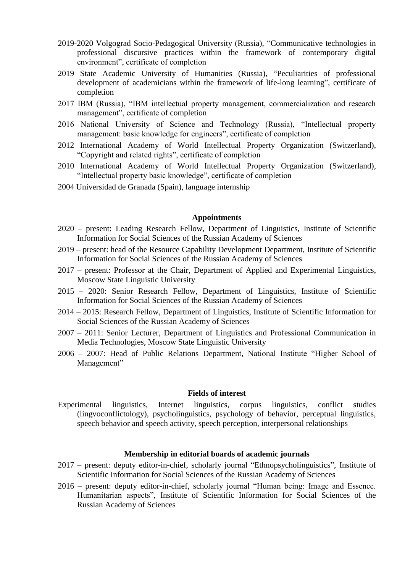- 2019-2020 Volgograd Socio-Pedagogical University (Russia), "Communicative technologies in professional discursive practices within the framework of contemporary digital environment", certificate of completion
- 2019 State Academic University of Humanities (Russia), "Peculiarities of professional development of academicians within the framework of life-long learning", certificate of completion
- 2017 IBM (Russia), "IBM intellectual property management, commercialization and research management", certificate of completion
- 2016 National University of Science and Technology (Russia), "Intellectual property management: basic knowledge for engineers", certificate of completion
- 2012 International Academy of World Intellectual Property Organization (Switzerland), "Copyright and related rights", certificate of completion
- 2010 International Academy of World Intellectual Property Organization (Switzerland), "Intellectual property basic knowledge", certificate of completion
- 2004 Universidad de Granada (Spain), language internship

#### **Appointments**

- 2020 present: Leading Research Fellow, Department of Linguistics, Institute of Scientific Information for Social Sciences of the Russian Academy of Sciences
- 2019 present: head of the Resource Capability Development Department, Institute of Scientific Information for Social Sciences of the Russian Academy of Sciences
- 2017 present: Professor at the Chair, Department of Applied and Experimental Linguistics, Moscow State Linguistic University
- 2015 2020: Senior Research Fellow, Department of Linguistics, Institute of Scientific Information for Social Sciences of the Russian Academy of Sciences
- 2014 2015: Research Fellow, Department of Linguistics, Institute of Scientific Information for Social Sciences of the Russian Academy of Sciences
- 2007 2011: Senior Lecturer, Department of Linguistics and Professional Communication in Media Technologies, Moscow State Linguistic University
- 2006 2007: Head of Public Relations Department, National Institute "Higher School of Management"

#### **Fields of interest**

Experimental linguistics, Internet linguistics, corpus linguistics, conflict studies (lingvoconflictology), psycholinguistics, psychology of behavior, perceptual linguistics, speech behavior and speech activity, speech perception, interpersonal relationships

#### **Membership in editorial boards of academic journals**

- 2017 present: deputy editor-in-chief, scholarly journal "Ethnopsycholinguistics", Institute of Scientific Information for Social Sciences of the Russian Academy of Sciences
- 2016 present: deputy editor-in-chief, scholarly journal "Human being: Image and Essence. Humanitarian aspects", Institute of Scientific Information for Social Sciences of the Russian Academy of Sciences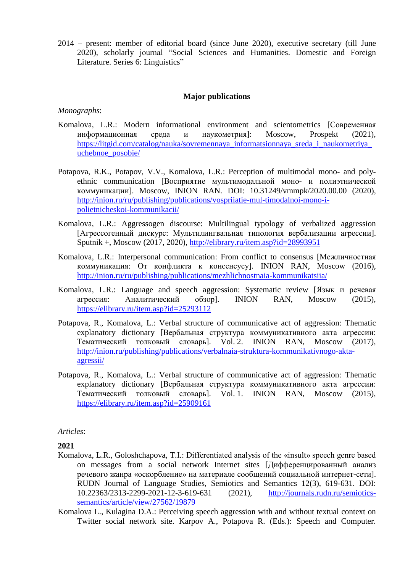2014 – present: member of editorial board (since June 2020), executive secretary (till June 2020), scholarly journal "Social Sciences and Humanities. Domestic and Foreign Literature. Series 6: Linguistics"

## **Major publications**

#### *Monographs*:

- Komalova, L.R.: Modern informational environment and scientometrics [Современная информационная среда и наукометрия]: Moscow, Prospekt (2021), [https://litgid.com/catalog/nauka/sovremennaya\\_informatsionnaya\\_sreda\\_i\\_naukometriya\\_](https://litgid.com/catalog/nauka/sovremennaya_informatsionnaya_sreda_i_naukometriya_uchebnoe_posobie/) [uchebnoe\\_posobie/](https://litgid.com/catalog/nauka/sovremennaya_informatsionnaya_sreda_i_naukometriya_uchebnoe_posobie/)
- Potapova, R.K., Potapov, V.V., Komalova, L.R.: Perception of multimodal mono- and polyethnic communication [Восприятие мультимодальной моно- и полиэтнической коммуникации]. Moscow, INION RAN. DOI: 10.31249/vmmpk/2020.00.00 (2020), [http://inion.ru/ru/publishing/publications/vospriiatie-mul-timodalnoi-mono-i](http://inion.ru/ru/publishing/publications/vospriiatie-mul-timodalnoi-mono-i-polietnicheskoi-kommunikacii/)[polietnicheskoi-kommunikacii/](http://inion.ru/ru/publishing/publications/vospriiatie-mul-timodalnoi-mono-i-polietnicheskoi-kommunikacii/)
- Komalova, L.R.: Aggressogen discourse: Multilingual typology of verbalized aggression [Агрессогенный дискурс: Мультилингвальная типология вербализации агрессии]. Sputnik +, Moscow (2017, 2020),<http://elibrary.ru/item.asp?id=28993951>
- Komalova, L.R.: Interpersonal communication: From conflict to consensus [Межличностная коммуникация: От конфликта к консенсусу]. INION RAN, Moscow (2016), <http://inion.ru/ru/publishing/publications/mezhlichnostnaia-kommunikatsiia/>
- Komalova, L.R.: Language and speech aggression: Systematic review [Язык и речевая агрессия: Аналитический обзор]. INION RAN, Moscow (2015), <https://elibrary.ru/item.asp?id=25293112>
- Potapova, R., Komalova, L.: Verbal structure of communicative act of aggression: Thematic explanatory dictionary [Вербальная структура коммуникативного акта агрессии: Тематический толковый словарь]. Vol. 2. INION RAN, Moscow (2017), [http://inion.ru/publishing/publications/verbalnaia-struktura-kommunikativnogo-akta](http://inion.ru/publishing/publications/verbalnaia-struktura-kommunikativnogo-akta-agressii/)[agressii/](http://inion.ru/publishing/publications/verbalnaia-struktura-kommunikativnogo-akta-agressii/)
- Potapova, R., Komalova, L.: Verbal structure of communicative act of aggression: Thematic explanatory dictionary [Вербальная структура коммуникативного акта агрессии: Тематический толковый словарь]. Vol. 1. INION RAN, Moscow (2015), <https://elibrary.ru/item.asp?id=25909161>

## *Articles*:

## **2021**

- Komalova, L.R., Goloshchapova, T.I.: Differentiated analysis of the «insult» speech genre based on messages from a social network Internet sites [Дифференцированный анализ речевого жанра «оскорбление» на материале сообщений социальной интернет-сети]. RUDN Journal of Language Studies, Semiotics and Semantics 12(3), 619-631. DOI: 10.22363/2313-2299-2021-12-3-619-631 (2021), [http://journals.rudn.ru/semiotics](http://journals.rudn.ru/semiotics-semantics/article/view/27562/19879)[semantics/article/view/27562/19879](http://journals.rudn.ru/semiotics-semantics/article/view/27562/19879)
- Komalova L., Kulagina D.A.: Perceiving speech aggression with and without textual context on Twitter social network site. Karpov A., Potapova R. (Eds.): Speech and Computer.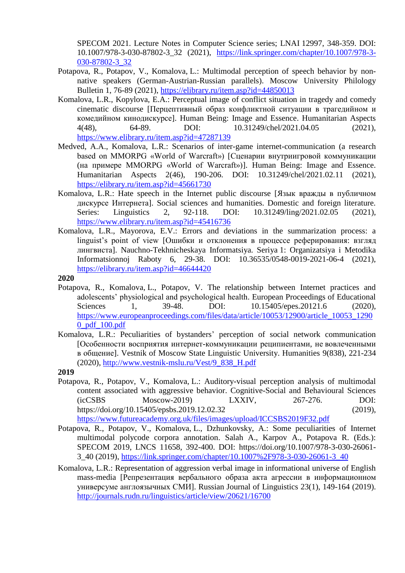SPECOM 2021. Lecture Notes in Computer Science series; LNAI 12997, 348-359. DOI: 10.1007/978-3-030-87802-3\_32 (2021), [https://link.springer.com/chapter/10.1007/978-3-](https://link.springer.com/chapter/10.1007/978-3-030-87802-3_32) [030-87802-3\\_32](https://link.springer.com/chapter/10.1007/978-3-030-87802-3_32)

- Potapova, R., Potapov, V., Komalova, L.: Multimodal perception of speech behavior by nonnative speakers (German-Austrian-Russian parallels). Moscow University Philology Bulletin 1, 76-89 (2021),<https://elibrary.ru/item.asp?id=44850013>
- Komalova, L.R., Kopylova, E.A.: Perceptual image of conflict situation in tragedy and comedy cinematic discourse [Перцептивный образ конфликтной ситуации в трагедийном и комедийном кинодискурсе]. Human Being: Image and Essence. Humanitarian Aspects 4(48), 64-89. DOI: 10.31249/chel/2021.04.05 (2021), <https://www.elibrary.ru/item.asp?id=47287139>
- Medved, A.A., Komalova, L.R.: Scenarios of inter-game internet-communication (a research based on MMORPG «World of Warcraft») [Сценарии внутриигровой коммуникации (на примере MMORPG «World of Warcraft»)]. Human Being: Image and Essence. Humanitarian Aspects 2(46), 190-206. DOI: 10.31249/chel/2021.02.11 (2021), <https://elibrary.ru/item.asp?id=45661730>
- Komalova, L.R.: Hate speech in the Internet public discourse [Язык вражды в публичном дискурсе Интернета]. Social sciences and humanities. Domestic and foreign literature. Series: Linguistics 2, 92-118. DOI: 10.31249/ling/2021.02.05 (2021), <https://www.elibrary.ru/item.asp?id=45416736>
- Komalova, L.R., Mayorova, E.V.: Errors and deviations in the summarization process: a linguist's point of view [Ошибки и отклонения в процессе реферирования: взгляд лингвиста]. Nauchno-Tekhnicheskaya Informatsiya. Seriya 1: Organizatsiya i Metodika Informatsionnoj Raboty 6, 29-38. DOI: 10.36535/0548-0019-2021-06-4 (2021), <https://elibrary.ru/item.asp?id=46644420>

#### **2020**

- Potapova, R., Komalova, L., Potapov, V. The relationship between Internet practices and adolescents' physiological and psychological health. European Proceedings of Educational Sciences 1, 39-48. DOI:  $10.15405$ /epes.20121.6 (2020), [https://www.europeanproceedings.com/files/data/article/10053/12900/article\\_10053\\_1290](https://www.europeanproceedings.com/files/data/article/10053/12900/article_10053_12900_pdf_100.pdf) [0\\_pdf\\_100.pdf](https://www.europeanproceedings.com/files/data/article/10053/12900/article_10053_12900_pdf_100.pdf)
- Komalova, L.R.: Peculiarities of bystanders' perception of social network communication [Особенности восприятия интернет-коммуникации реципиентами, не вовлеченными в общение]. Vestnik of Moscow State Linguistic University. Humanities 9(838), 221-234 (2020), [http://www.vestnik-mslu.ru/Vest/9\\_838\\_H.pdf](http://www.vestnik-mslu.ru/Vest/9_838_H.pdf)

## **2019**

- Potapova, R., Potapov, V., Komalova, L.: Auditory-visual perception analysis of multimodal content associated with aggressive behavior. Cognitive-Social and Behavioural Sciences (icCSBS Moscow-2019) LXXIV, 267-276. DOI: https://doi.org/10.15405/epsbs.2019.12.02.32 (2019), <https://www.futureacademy.org.uk/files/images/upload/ICCSBS2019F32.pdf>
- Potapova, R., Potapov, V., Komalova, L., Dzhunkovsky, A.: Some peculiarities of Internet multimodal polycode corpora annotation. Salah A., Karpov A., Potapova R. (Eds.): SPECOM 2019, LNCS 11658, 392-400. DOI: https://doi.org/10.1007/978-3-030-26061- 3\_40 (2019), [https://link.springer.com/chapter/10.1007%2F978-3-030-26061-3\\_40](https://link.springer.com/chapter/10.1007%2F978-3-030-26061-3_40)
- Komalova, L.R.: Representation of aggression verbal image in informational universe of English mass-media [Репрезентация вербального образа акта агрессии в информационном универсуме англоязычных СМИ]. Russian Journal of Linguistics 23(1), 149-164 (2019). <http://journals.rudn.ru/linguistics/article/view/20621/16700>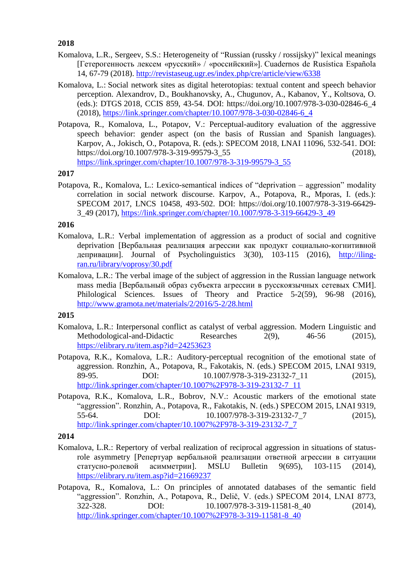**2018**

- Komalova, L.R., Sergeev, S.S.: Heterogeneity of "Russian (russky / rossijsky)" lexical meanings [Гетерогенность лексем «русский» / «российский»]. Cuadernos de Rusística Española 14, 67-79 (2018).<http://revistaseug.ugr.es/index.php/cre/article/view/6338>
- Komalova, L.: Social network sites as digital heterotopias: textual content and speech behavior perception. Alexandrov, D., Boukhanovsky, A., Chugunov, A., Kabanov, Y., Koltsova, O. (eds.): DTGS 2018, CCIS 859, 43-54. DOI: [https://doi.org/10.1007/978-3-030-02846-6\\_4](https://doi.org/10.1007/978-3-030-02846-6_4) (2018), [https://link.springer.com/chapter/10.1007/978-3-030-02846-6\\_4](https://link.springer.com/chapter/10.1007/978-3-030-02846-6_4)
- Potapova, R., Komalova, L., Potapov, V.: Perceptual-auditory evaluation of the aggressive speech behavior: gender aspect (on the basis of Russian and Spanish languages). Karpov, A., Jokisch, O., Potapova, R. (eds.): SPECOM 2018, LNAI 11096, 532-541. DOI: [https://doi.org/10.1007/978-3-319-99579-3\\_55](https://doi.org/10.1007/978-3-319-99579-3_55) (2018), [https://link.springer.com/chapter/10.1007/978-3-319-99579-3\\_55](https://link.springer.com/chapter/10.1007/978-3-319-99579-3_55)

# **2017**

Potapova, R., Komalova, L.: Lexico-semantical indices of "deprivation – aggression" modality correlation in social network discourse. Karpov, A., Potapova, R., Mporas, I. (eds.): SPECOM 2017, LNCS 10458, 493-502. DOI: https://doi.org/10.1007/978-3-319-66429- 3\_49 (2017), [https://link.springer.com/chapter/10.1007/978-3-319-66429-3\\_49](https://link.springer.com/chapter/10.1007/978-3-319-66429-3_49)

## **2016**

- Komalova, L.R.: Verbal implementation of aggression as a product of social and cognitive deprivation [Вербальная реализация агрессии как продукт социально-когнитивной депривации]. Journal of Psycholinguistics 3(30), 103-115 (2016), [http://iling](http://iling-ran.ru/library/voprosy/30.pdf)[ran.ru/library/voprosy/30.pdf](http://iling-ran.ru/library/voprosy/30.pdf)
- Komalova, L.R.: The verbal image of the subject of aggression in the Russian language network mass media [Вербальный образ субъекта агрессии в русскоязычных сетевых СМИ]. Philological Sciences. Issues of Theory and Practice 5-2(59), 96-98 (2016), <http://www.gramota.net/materials/2/2016/5-2/28.html>

# **2015**

- Komalova, L.R.: Interpersonal conflict as catalyst of verbal aggression. Modern Linguistic and Methodological-and-Didactic Researches 2(9), 46-56 (2015), <https://elibrary.ru/item.asp?id=24253623>
- Potapova, R.K., Komalova, L.R.: Auditory-perceptual recognition of the emotional state of aggression. Ronzhin, A., Potapova, R., Fakotakis, N. (eds.) SPECOM 2015, LNAI 9319, 89-95. DOI: 10.1007/978-3-319-23132-7 11 (2015), [http://link.springer.com/chapter/10.1007%2F978-3-319-23132-7\\_11](http://link.springer.com/chapter/10.1007%2F978-3-319-23132-7_11)
- Potapova, R.K., Komalova, L.R., Bobrov, N.V.: Acoustic markers of the emotional state "aggression". Ronzhin, A., Potapova, R., Fakotakis, N. (eds.) SPECOM 2015, LNAI 9319, 55-64. DOI: 10.1007/978-3-319-23132-7 7 (2015), [http://link.springer.com/chapter/10.1007%2F978-3-319-23132-7\\_7](http://link.springer.com/chapter/10.1007%2F978-3-319-23132-7_7)

## **2014**

- Komalova, L.R.: Repertory of verbal realization of reciprocal aggression in situations of statusrole asymmetry [Репертуар вербальной реализации ответной агрессии в ситуации статусно-ролевой асимметрии]. MSLU Bulletin 9(695), 103-115 (2014), <https://elibrary.ru/item.asp?id=21669237>
- Potapova, R., Komalova, L.: On principles of annotated databases of the semantic field "aggression". Ronzhin, A., Potapova, R., Delič, V. (eds.) SPECOM 2014, LNAI 8773, 322-328. DOI: 10.1007/978-3-319-11581-8 40 (2014), [http://link.springer.com/chapter/10.1007%2F978-3-319-11581-8\\_40](http://link.springer.com/chapter/10.1007%2F978-3-319-11581-8_40)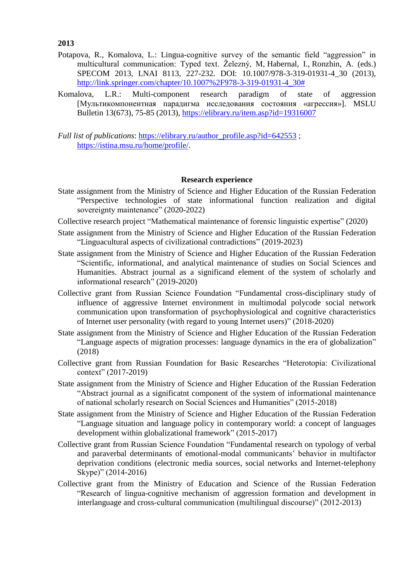**2013**

- Potapova, R., Komalova, L.: Lingua-cognitive survey of the semantic field "aggression" in multicultural communication: Typed text. Železný, M, Habernal, I., Ronzhin, A. (eds.) SPECOM 2013, LNAI 8113, 227-232. DOI: 10.1007/978-3-319-01931-4\_30 (2013), [http://link.springer.com/chapter/10.1007%2F978-3-319-01931-4\\_30#](http://link.springer.com/chapter/10.1007%2F978-3-319-01931-4_30)
- Komalova, L.R.: Multi-component research paradigm of state of aggression [Мультикомпонентная парадигма исследования состояния «агрессия»]. MSLU Bulletin 13(673), 75-85 (2013), <https://elibrary.ru/item.asp?id=19316007>
- *Full list of publications*: [https://elibrary.ru/author\\_profile.asp?id=642553](https://elibrary.ru/author_profile.asp?id=642553) ; [https://istina.msu.ru/home/profile/.](https://istina.msu.ru/home/profile/)

#### **Research experience**

- State assignment from the Ministry of Science and Higher Education of the Russian Federation "Perspective technologies of state informational function realization and digital sovereignty maintenance" (2020-2022)
- Collective research project "Mathematical maintenance of forensic linguistic expertise" (2020)
- State assignment from the Ministry of Science and Higher Education of the Russian Federation "Linguacultural aspects of civilizational contradictions" (2019-2023)
- State assignment from the Ministry of Science and Higher Education of the Russian Federation "Scientific, informational, and analytical maintenance of studies on Social Sciences and Humanities. Abstract journal as a significand element of the system of scholarly and informational research" (2019-2020)
- Collective grant from Russian Science Foundation "Fundamental cross-disciplinary study of influence of aggressive Internet environment in multimodal polycode social network communication upon transformation of psychophysiological and cognitive characteristics of Internet user personality (with regard to young Internet users)" (2018-2020)
- State assignment from the Ministry of Science and Higher Education of the Russian Federation "Language aspects of migration processes: language dynamics in the era of globalization" (2018)
- Collective grant from Russian Foundation for Basic Researches "Heterotopia: Civilizational context" (2017-2019)
- State assignment from the Ministry of Science and Higher Education of the Russian Federation "Abstract journal as a significatnt component of the system of informational maintenance of national scholarly research on Social Sciences and Humanities" (2015-2018)
- State assignment from the Ministry of Science and Higher Education of the Russian Federation "Language situation and language policy in contemporary world: a concept of languages development within globalizational framework" (2015-2017)
- Collective grant from Russian Science Foundation "Fundamental research on typology of verbal and paraverbal determinants of emotional-modal communicants' behavior in multifactor deprivation conditions (electronic media sources, social networks and Internet-telephony Skype)" (2014-2016)
- Collective grant from the Ministry of Education and Science of the Russian Federation "Research of lingua-cognitive mechanism of aggression formation and development in interlanguage and cross-cultural communication (multilingual discourse)" (2012-2013)